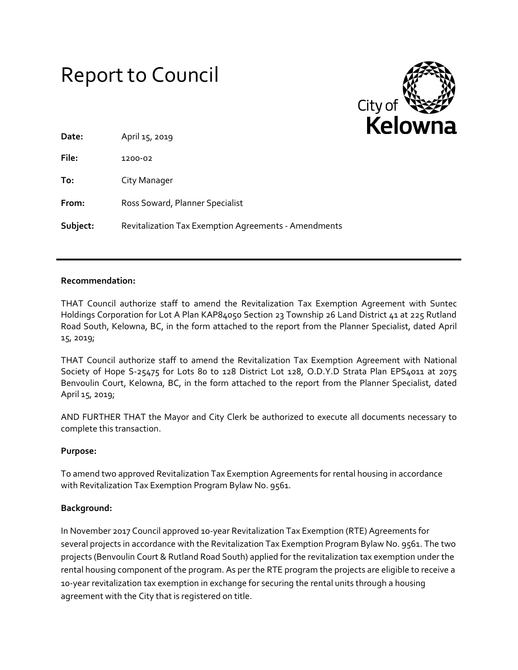# Report to Council



| Date:    | April 15, 2019                                       |
|----------|------------------------------------------------------|
| File:    | 1200-02                                              |
| To:      | City Manager                                         |
| From:    | Ross Soward, Planner Specialist                      |
| Subject: | Revitalization Tax Exemption Agreements - Amendments |

#### **Recommendation:**

THAT Council authorize staff to amend the Revitalization Tax Exemption Agreement with Suntec Holdings Corporation for Lot A Plan KAP84050 Section 23 Township 26 Land District 41 at 225 Rutland Road South, Kelowna, BC, in the form attached to the report from the Planner Specialist, dated April 15, 2019;

THAT Council authorize staff to amend the Revitalization Tax Exemption Agreement with National Society of Hope S-25475 for Lots 80 to 128 District Lot 128, O.D.Y.D Strata Plan EPS4011 at 2075 Benvoulin Court, Kelowna, BC, in the form attached to the report from the Planner Specialist, dated April 15, 2019;

AND FURTHER THAT the Mayor and City Clerk be authorized to execute all documents necessary to complete this transaction.

#### **Purpose:**

To amend two approved Revitalization Tax Exemption Agreements for rental housing in accordance with Revitalization Tax Exemption Program Bylaw No. 9561.

#### **Background:**

In November 2017 Council approved 10-year Revitalization Tax Exemption (RTE) Agreements for several projects in accordance with the Revitalization Tax Exemption Program Bylaw No. 9561. The two projects (Benvoulin Court & Rutland Road South) applied for the revitalization tax exemption under the rental housing component of the program. As per the RTE program the projects are eligible to receive a 10-year revitalization tax exemption in exchange for securing the rental units through a housing agreement with the City that is registered on title.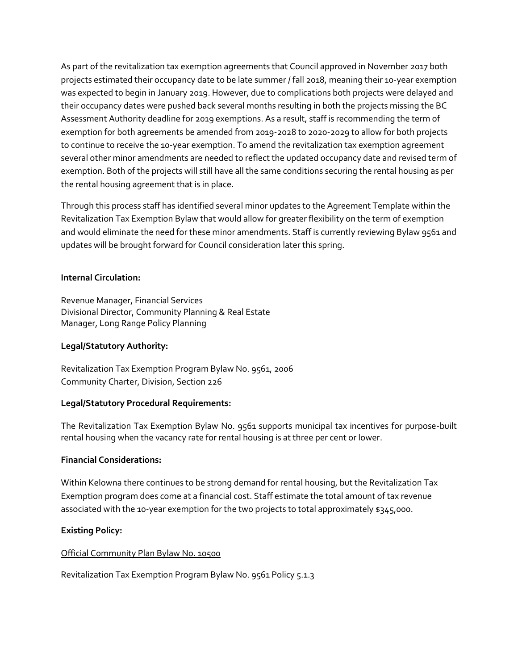As part of the revitalization tax exemption agreements that Council approved in November 2017 both projects estimated their occupancy date to be late summer / fall 2018, meaning their 10-year exemption was expected to begin in January 2019. However, due to complications both projects were delayed and their occupancy dates were pushed back several months resulting in both the projects missing the BC Assessment Authority deadline for 2019 exemptions. As a result, staff is recommending the term of exemption for both agreements be amended from 2019-2028 to 2020-2029 to allow for both projects to continue to receive the 10-year exemption. To amend the revitalization tax exemption agreement several other minor amendments are needed to reflect the updated occupancy date and revised term of exemption. Both of the projects will still have all the same conditions securing the rental housing as per the rental housing agreement that is in place.

Through this process staff has identified several minor updates to the Agreement Template within the Revitalization Tax Exemption Bylaw that would allow for greater flexibility on the term of exemption and would eliminate the need for these minor amendments. Staff is currently reviewing Bylaw 9561 and updates will be brought forward for Council consideration later this spring.

## **Internal Circulation:**

Revenue Manager, Financial Services Divisional Director, Community Planning & Real Estate Manager, Long Range Policy Planning

### **Legal/Statutory Authority:**

Revitalization Tax Exemption Program Bylaw No. 9561, 2006 Community Charter, Division, Section 226

# **Legal/Statutory Procedural Requirements:**

The Revitalization Tax Exemption Bylaw No. 9561 supports municipal tax incentives for purpose-built rental housing when the vacancy rate for rental housing is at three per cent or lower.

### **Financial Considerations:**

Within Kelowna there continues to be strong demand for rental housing, but the Revitalization Tax Exemption program does come at a financial cost. Staff estimate the total amount of tax revenue associated with the 10-year exemption for the two projects to total approximately \$345,000.

# **Existing Policy:**

### Official Community Plan Bylaw No. 10500

Revitalization Tax Exemption Program Bylaw No. 9561 Policy 5.1.3